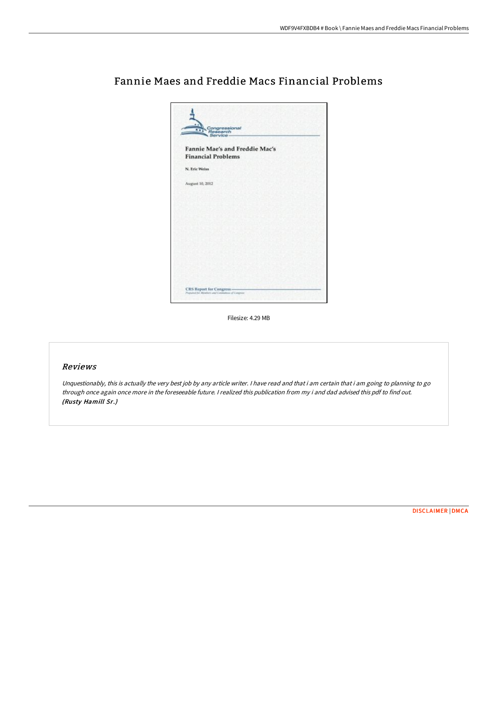

## Fannie Maes and Freddie Macs Financial Problems

Filesize: 4.29 MB

## Reviews

Unquestionably, this is actually the very best job by any article writer. I have read and that i am certain that i am going to planning to go through once again once more in the foreseeable future. <sup>I</sup> realized this publication from my i and dad advised this pdf to find out. (Rusty Hamill Sr.)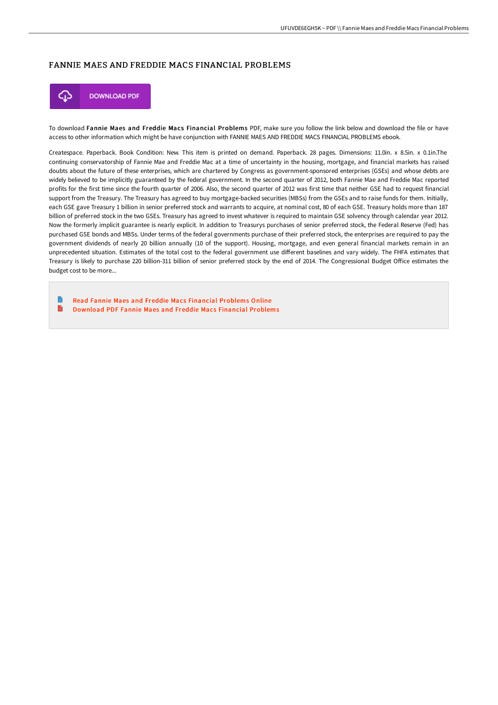## FANNIE MAES AND FREDDIE MACS FINANCIAL PROBLEMS



To download Fannie Maes and Freddie Macs Financial Problems PDF, make sure you follow the link below and download the file or have access to other information which might be have conjunction with FANNIE MAES AND FREDDIE MACS FINANCIAL PROBLEMS ebook.

Createspace. Paperback. Book Condition: New. This item is printed on demand. Paperback. 28 pages. Dimensions: 11.0in. x 8.5in. x 0.1in.The continuing conservatorship of Fannie Mae and Freddie Mac at a time of uncertainty in the housing, mortgage, and financial markets has raised doubts about the future of these enterprises, which are chartered by Congress as government-sponsored enterprises (GSEs) and whose debts are widely believed to be implicitly guaranteed by the federal government. In the second quarter of 2012, both Fannie Mae and Freddie Mac reported profits for the first time since the fourth quarter of 2006. Also, the second quarter of 2012 was first time that neither GSE had to request financial support from the Treasury. The Treasury has agreed to buy mortgage-backed securities (MBSs) from the GSEs and to raise funds for them. Initially, each GSE gave Treasury 1 billion in senior preferred stock and warrants to acquire, at nominal cost, 80 of each GSE. Treasury holds more than 187 billion of preferred stock in the two GSEs. Treasury has agreed to invest whatever is required to maintain GSE solvency through calendar year 2012. Now the formerly implicit guarantee is nearly explicit. In addition to Treasurys purchases of senior preferred stock, the Federal Reserve (Fed) has purchased GSE bonds and MBSs. Under terms of the federal governments purchase of their preferred stock, the enterprises are required to pay the government dividends of nearly 20 billion annually (10 of the support). Housing, mortgage, and even general financial markets remain in an unprecedented situation. Estimates of the total cost to the federal government use different baselines and vary widely. The FHFA estimates that Treasury is likely to purchase 220 billion-311 billion of senior preferred stock by the end of 2014. The Congressional Budget Office estimates the budget cost to be more...

Read Fannie Maes and Freddie Macs Financial [Problems](http://techno-pub.tech/fannie-maes-and-freddie-macs-financial-problems.html) Online E [Download](http://techno-pub.tech/fannie-maes-and-freddie-macs-financial-problems.html) PDF Fannie Maes and Freddie Macs Financial Problems